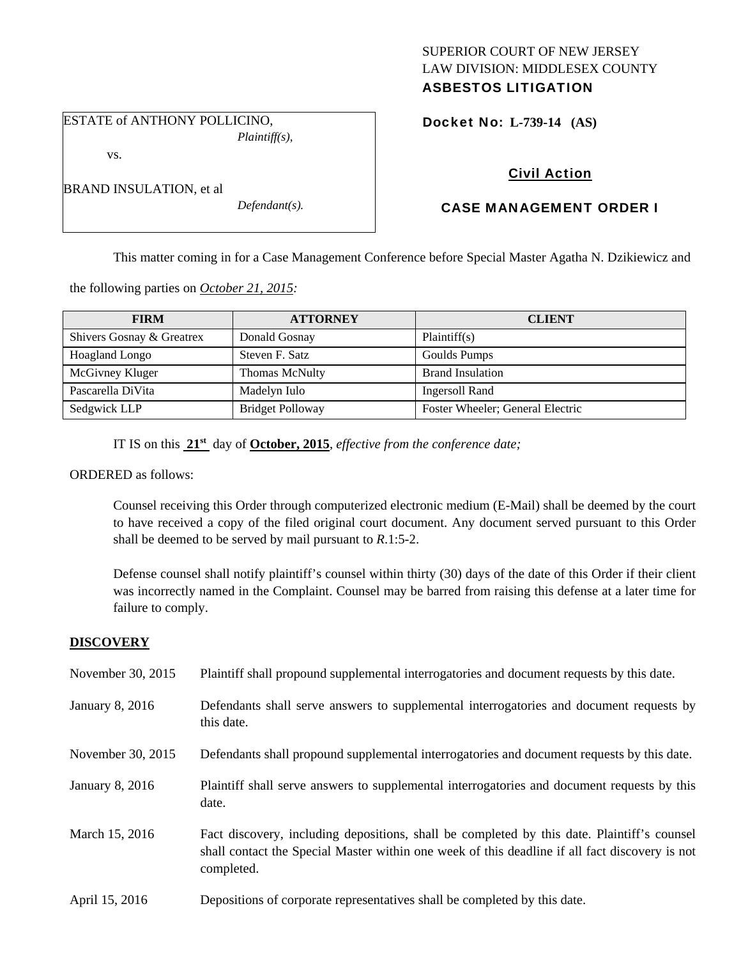# SUPERIOR COURT OF NEW JERSEY LAW DIVISION: MIDDLESEX COUNTY ASBESTOS LITIGATION

Docket No: **L-739-14 (AS)** 

# Civil Action

# CASE MANAGEMENT ORDER I

This matter coming in for a Case Management Conference before Special Master Agatha N. Dzikiewicz and

the following parties on *October 21, 2015:* 

| <b>FIRM</b>               | <b>ATTORNEY</b>         | <b>CLIENT</b>                    |
|---------------------------|-------------------------|----------------------------------|
| Shivers Gosnay & Greatrex | Donald Gosnay           | Plaintiff(s)                     |
| Hoagland Longo            | Steven F. Satz          | Goulds Pumps                     |
| McGivney Kluger           | Thomas McNulty          | <b>Brand Insulation</b>          |
| Pascarella DiVita         | Madelyn Iulo            | <b>Ingersoll Rand</b>            |
| Sedgwick LLP              | <b>Bridget Polloway</b> | Foster Wheeler; General Electric |

IT IS on this **21st** day of **October, 2015**, *effective from the conference date;*

ORDERED as follows:

Counsel receiving this Order through computerized electronic medium (E-Mail) shall be deemed by the court to have received a copy of the filed original court document. Any document served pursuant to this Order shall be deemed to be served by mail pursuant to *R*.1:5-2.

Defense counsel shall notify plaintiff's counsel within thirty (30) days of the date of this Order if their client was incorrectly named in the Complaint. Counsel may be barred from raising this defense at a later time for failure to comply.

# **DISCOVERY**

| November 30, 2015 | Plaintiff shall propound supplemental interrogatories and document requests by this date.                                                                                                                   |
|-------------------|-------------------------------------------------------------------------------------------------------------------------------------------------------------------------------------------------------------|
| January 8, 2016   | Defendants shall serve answers to supplemental interrogatories and document requests by<br>this date.                                                                                                       |
| November 30, 2015 | Defendants shall propound supplemental interrogatories and document requests by this date.                                                                                                                  |
| January 8, 2016   | Plaintiff shall serve answers to supplemental interrogatories and document requests by this<br>date.                                                                                                        |
| March 15, 2016    | Fact discovery, including depositions, shall be completed by this date. Plaintiff's counsel<br>shall contact the Special Master within one week of this deadline if all fact discovery is not<br>completed. |
| April 15, 2016    | Depositions of corporate representatives shall be completed by this date.                                                                                                                                   |

| <b>BRAND INSULATION, et al</b> |  |
|--------------------------------|--|
|--------------------------------|--|

*Defendant(s).* 

### ESTATE of ANTHONY POLLICINO, *Plaintiff(s),*

vs.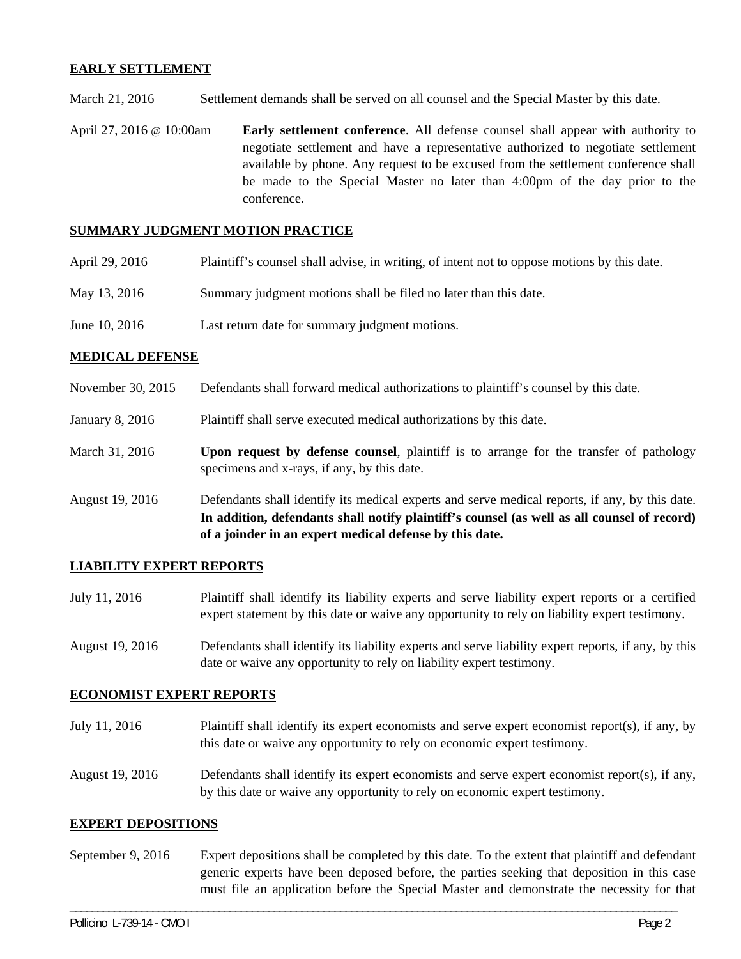# **EARLY SETTLEMENT**

March 21, 2016 Settlement demands shall be served on all counsel and the Special Master by this date.

April 27, 2016 @ 10:00am **Early settlement conference**. All defense counsel shall appear with authority to negotiate settlement and have a representative authorized to negotiate settlement available by phone. Any request to be excused from the settlement conference shall be made to the Special Master no later than 4:00pm of the day prior to the conference.

# **SUMMARY JUDGMENT MOTION PRACTICE**

| April 29, 2016 | Plaintiff's counsel shall advise, in writing, of intent not to oppose motions by this date. |  |  |
|----------------|---------------------------------------------------------------------------------------------|--|--|
|                |                                                                                             |  |  |

- May 13, 2016 Summary judgment motions shall be filed no later than this date.
- June 10, 2016 Last return date for summary judgment motions.

### **MEDICAL DEFENSE**

November 30, 2015 Defendants shall forward medical authorizations to plaintiff's counsel by this date.

January 8, 2016 Plaintiff shall serve executed medical authorizations by this date.

- March 31, 2016 **Upon request by defense counsel**, plaintiff is to arrange for the transfer of pathology specimens and x-rays, if any, by this date.
- August 19, 2016 Defendants shall identify its medical experts and serve medical reports, if any, by this date. **In addition, defendants shall notify plaintiff's counsel (as well as all counsel of record) of a joinder in an expert medical defense by this date.**

### **LIABILITY EXPERT REPORTS**

- July 11, 2016 Plaintiff shall identify its liability experts and serve liability expert reports or a certified expert statement by this date or waive any opportunity to rely on liability expert testimony.
- August 19, 2016 Defendants shall identify its liability experts and serve liability expert reports, if any, by this date or waive any opportunity to rely on liability expert testimony.

### **ECONOMIST EXPERT REPORTS**

- July 11, 2016 Plaintiff shall identify its expert economists and serve expert economist report(s), if any, by this date or waive any opportunity to rely on economic expert testimony.
- August 19, 2016 Defendants shall identify its expert economists and serve expert economist report(s), if any, by this date or waive any opportunity to rely on economic expert testimony.

### **EXPERT DEPOSITIONS**

September 9, 2016 Expert depositions shall be completed by this date. To the extent that plaintiff and defendant generic experts have been deposed before, the parties seeking that deposition in this case must file an application before the Special Master and demonstrate the necessity for that

\_\_\_\_\_\_\_\_\_\_\_\_\_\_\_\_\_\_\_\_\_\_\_\_\_\_\_\_\_\_\_\_\_\_\_\_\_\_\_\_\_\_\_\_\_\_\_\_\_\_\_\_\_\_\_\_\_\_\_\_\_\_\_\_\_\_\_\_\_\_\_\_\_\_\_\_\_\_\_\_\_\_\_\_\_\_\_\_\_\_\_\_\_\_\_\_\_\_\_\_\_\_\_\_\_\_\_\_\_\_